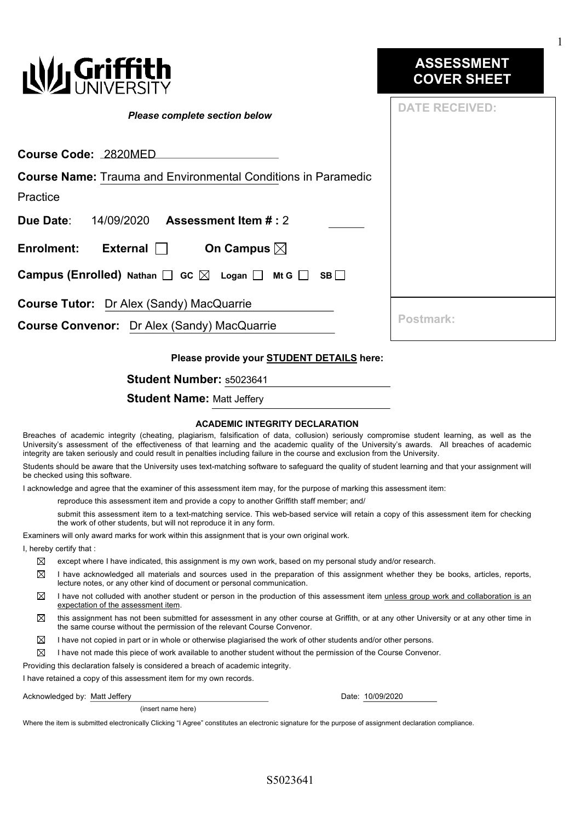

| Postmark: |
|-----------|
|           |

## **Please provide your STUDENT DETAILS here:**

**Student Name: Matt Jeffery** 

### **ACADEMIC INTEGRITY DECLARATION**

Breaches of academic integrity (cheating, plagiarism, falsification of data, collusion) seriously compromise student learning, as well as the University's assessment of the effectiveness of that learning and the academic quality of the University's awards. All breaches of academic integrity are taken seriously and could result in penalties including failure in the course and exclusion from the University.

Students should be aware that the University uses text-matching software to safeguard the quality of student learning and that your assignment will be checked using this software.

I acknowledge and agree that the examiner of this assessment item may, for the purpose of marking this assessment item:

reproduce this assessment item and provide a copy to another Griffith staff member; and/

submit this assessment item to a text-matching service. This web-based service will retain a copy of this assessment item for checking the work of other students, but will not reproduce it in any form.

Examiners will only award marks for work within this assignment that is your own original work.

I, hereby certify that :

- ⊠ except where I have indicated, this assignment is my own work, based on my personal study and/or research.
- ⊠ I have acknowledged all materials and sources used in the preparation of this assignment whether they be books, articles, reports, lecture notes, or any other kind of document or personal communication.
- ⊠ I have not colluded with another student or person in the production of this assessment item unless group work and collaboration is an expectation of the assessment item.
- ⊠ this assignment has not been submitted for assessment in any other course at Griffith, or at any other University or at any other time in the same course without the permission of the relevant Course Convenor.
- $\boxtimes$ I have not copied in part or in whole or otherwise plagiarised the work of other students and/or other persons.
- ⊠ I have not made this piece of work available to another student without the permission of the Course Convenor.
- Providing this declaration falsely is considered a breach of academic integrity.

I have retained a copy of this assessment item for my own records.

Acknowledged by: Matt Jeffery **Date: 10/09/2020** 

(insert name here)

Where the item is submitted electronically Clicking "I Agree" constitutes an electronic signature for the purpose of assignment declaration compliance.

1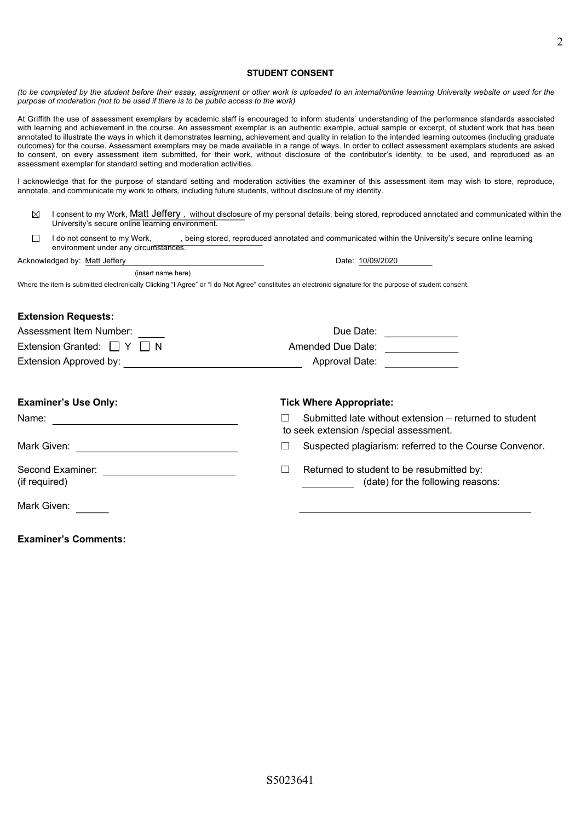*(to be completed by the student before their essay, assignment or other work is uploaded to an internal/online learning University website or used for the purpose of moderation (not to be used if there is to be public access to the work)*

At Griffith the use of assessment exemplars by academic staff is encouraged to inform students' understanding of the performance standards associated with learning and achievement in the course. An assessment exemplar is an authentic example, actual sample or excerpt, of student work that has been annotated to illustrate the ways in which it demonstrates learning, achievement and quality in relation to the intended learning outcomes (including graduate outcomes) for the course. Assessment exemplars may be made available in a range of ways. In order to collect assessment exemplars students are asked to consent, on every assessment item submitted, for their work, without disclosure of the contributor's identity, to be used, and reproduced as an assessment exemplar for standard setting and moderation activities.

I acknowledge that for the purpose of standard setting and moderation activities the examiner of this assessment item may wish to store, reproduce, annotate, and communicate my work to others, including future students, without disclosure of my identity.

- ⊠ I consent to my Work, Matt Jeffery *,* without disclosure of my personal details, being stored, reproduced annotated and communicated within the University's secure online learning environment.
- $\Box$ I do not consent to my Work, being stored, reproduced annotated and communicated within the University's secure online learning environment under any circumstances.

Acknowledged by: Matt Jeffery **Date: 10/09/2020** 

(insert name here)

Where the item is submitted electronically Clicking "I Agree" or "I do Not Agree" constitutes an electronic signature for the purpose of student consent.

| <b>Extension Requests:</b>                    |                                                                                                  |  |  |
|-----------------------------------------------|--------------------------------------------------------------------------------------------------|--|--|
| Assessment Item Number:                       | Due Date:                                                                                        |  |  |
| Extension Granted: $\Box Y$                   | Amended Due Date:                                                                                |  |  |
| Extension Approved by: Extension Approved by: | Approval Date:                                                                                   |  |  |
| <b>Examiner's Use Only:</b>                   | <b>Tick Where Appropriate:</b>                                                                   |  |  |
| Name:                                         | Submitted late without extension – returned to student<br>to seek extension /special assessment. |  |  |
| Mark Given:                                   | Suspected plagiarism: referred to the Course Convenor.                                           |  |  |
| Second Examiner:<br>(if required)             | Returned to student to be resubmitted by:<br>(date) for the following reasons:                   |  |  |
| Mark Given:                                   |                                                                                                  |  |  |

**Examiner's Comments:**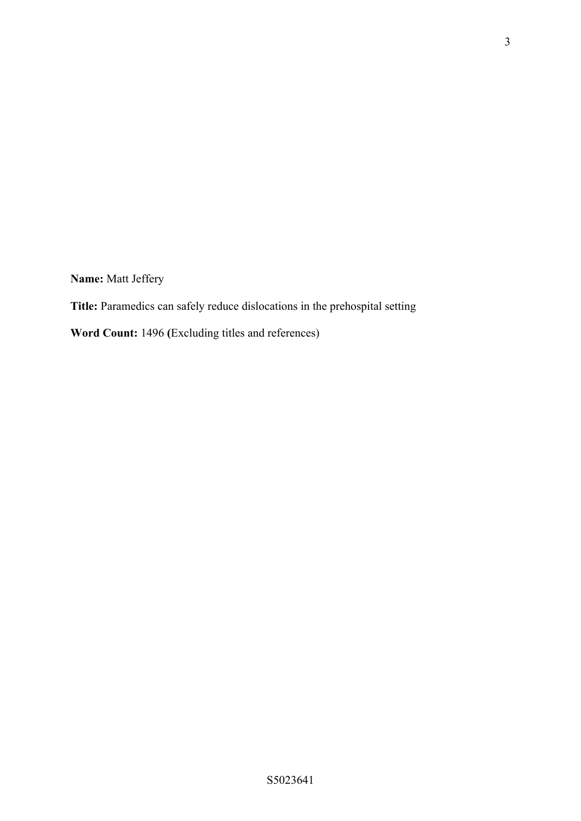**Name:** Matt Jeffery

**Title:** Paramedics can safely reduce dislocations in the prehospital setting

**Word Count:** 1496 **(**Excluding titles and references)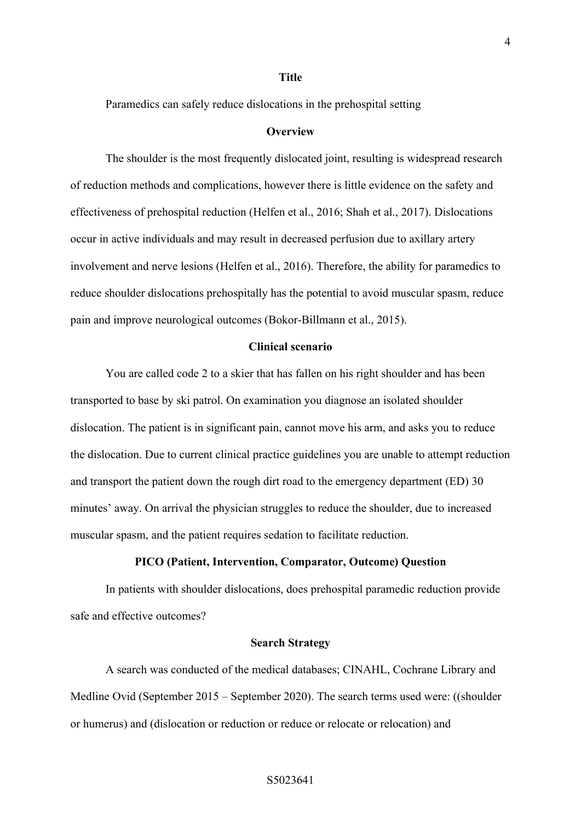### **Title**

Paramedics can safely reduce dislocations in the prehospital setting

#### **Overview**

The shoulder is the most frequently dislocated joint, resulting is widespread research of reduction methods and complications, however there is little evidence on the safety and effectiveness of prehospital reduction (Helfen et al., 2016; Shah et al., 2017). Dislocations occur in active individuals and may result in decreased perfusion due to axillary artery involvement and nerve lesions (Helfen et al., 2016). Therefore, the ability for paramedics to reduce shoulder dislocations prehospitally has the potential to avoid muscular spasm, reduce pain and improve neurological outcomes (Bokor-Billmann et al., 2015).

## **Clinical scenario**

You are called code 2 to a skier that has fallen on his right shoulder and has been transported to base by ski patrol. On examination you diagnose an isolated shoulder dislocation. The patient is in significant pain, cannot move his arm, and asks you to reduce the dislocation. Due to current clinical practice guidelines you are unable to attempt reduction and transport the patient down the rough dirt road to the emergency department (ED) 30 minutes' away. On arrival the physician struggles to reduce the shoulder, due to increased muscular spasm, and the patient requires sedation to facilitate reduction.

## **PICO (Patient, Intervention, Comparator, Outcome) Question**

In patients with shoulder dislocations, does prehospital paramedic reduction provide safe and effective outcomes?

## **Search Strategy**

A search was conducted of the medical databases; CINAHL, Cochrane Library and Medline Ovid (September 2015 – September 2020). The search terms used were: ((shoulder or humerus) and (dislocation or reduction or reduce or relocate or relocation) and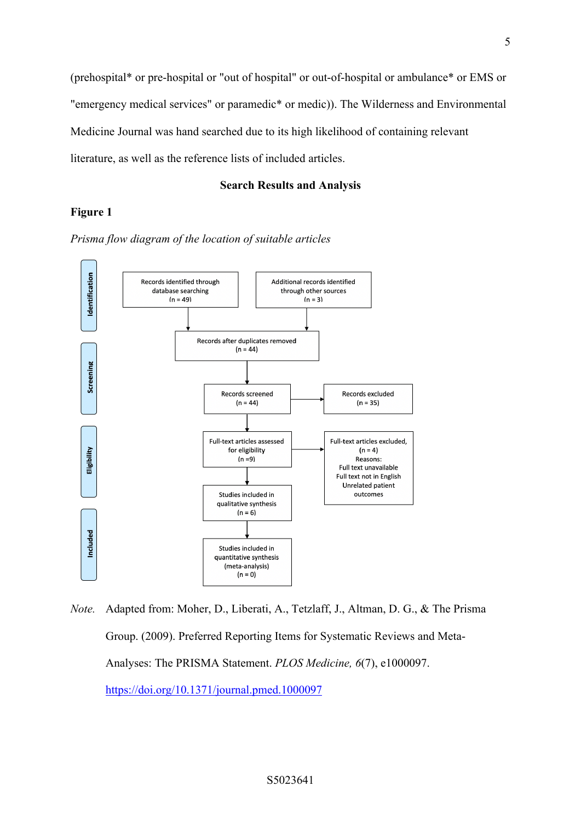(prehospital\* or pre-hospital or "out of hospital" or out-of-hospital or ambulance\* or EMS or "emergency medical services" or paramedic\* or medic)). The Wilderness and Environmental Medicine Journal was hand searched due to its high likelihood of containing relevant literature, as well as the reference lists of included articles.

## **Search Results and Analysis**

# **Figure 1**

*Prisma flow diagram of the location of suitable articles* 



*Note.* Adapted from: Moher, D., Liberati, A., Tetzlaff, J., Altman, D. G., & The Prisma Group. (2009). Preferred Reporting Items for Systematic Reviews and Meta-Analyses: The PRISMA Statement. *PLOS Medicine, 6*(7), e1000097. https://doi.org/10.1371/journal.pmed.1000097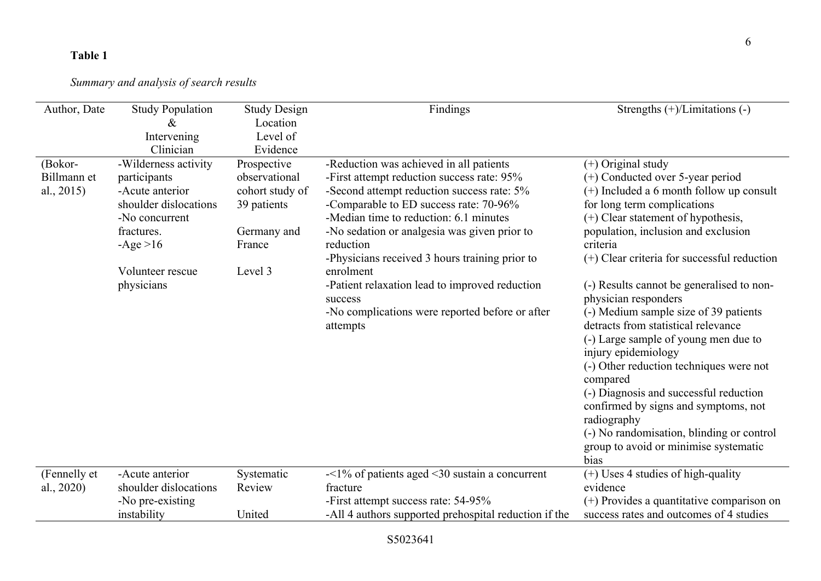# **Table 1**

# *Summary and analysis of search results*

| Author, Date                            | <b>Study Population</b><br>&<br>Intervening<br>Clinician                                                                                                          | <b>Study Design</b><br>Location<br>Level of<br>Evidence                                            | Findings                                                                                                                                                                                                                                                                                                                                                                                                                                                                        | Strengths $(+)/$ Limitations $(-)$                                                                                                                                                                                                                                                                                                                                                                                                                                                                                                                                                                                                                                                                                                                        |
|-----------------------------------------|-------------------------------------------------------------------------------------------------------------------------------------------------------------------|----------------------------------------------------------------------------------------------------|---------------------------------------------------------------------------------------------------------------------------------------------------------------------------------------------------------------------------------------------------------------------------------------------------------------------------------------------------------------------------------------------------------------------------------------------------------------------------------|-----------------------------------------------------------------------------------------------------------------------------------------------------------------------------------------------------------------------------------------------------------------------------------------------------------------------------------------------------------------------------------------------------------------------------------------------------------------------------------------------------------------------------------------------------------------------------------------------------------------------------------------------------------------------------------------------------------------------------------------------------------|
| (Bokor-<br>Billmann et<br>al., $2015$ ) | -Wilderness activity<br>participants<br>-Acute anterior<br>shoulder dislocations<br>-No concurrent<br>fractures.<br>$-Age > 16$<br>Volunteer rescue<br>physicians | Prospective<br>observational<br>cohort study of<br>39 patients<br>Germany and<br>France<br>Level 3 | -Reduction was achieved in all patients<br>-First attempt reduction success rate: 95%<br>-Second attempt reduction success rate: 5%<br>-Comparable to ED success rate: 70-96%<br>-Median time to reduction: 6.1 minutes<br>-No sedation or analgesia was given prior to<br>reduction<br>-Physicians received 3 hours training prior to<br>enrolment<br>-Patient relaxation lead to improved reduction<br>success<br>-No complications were reported before or after<br>attempts | $(+)$ Original study<br>(+) Conducted over 5-year period<br>$(+)$ Included a 6 month follow up consult<br>for long term complications<br>$(+)$ Clear statement of hypothesis,<br>population, inclusion and exclusion<br>criteria<br>(+) Clear criteria for successful reduction<br>(-) Results cannot be generalised to non-<br>physician responders<br>(-) Medium sample size of 39 patients<br>detracts from statistical relevance<br>(-) Large sample of young men due to<br>injury epidemiology<br>(-) Other reduction techniques were not<br>compared<br>(-) Diagnosis and successful reduction<br>confirmed by signs and symptoms, not<br>radiography<br>(-) No randomisation, blinding or control<br>group to avoid or minimise systematic<br>bias |
| (Fennelly et<br>al., 2020)              | -Acute anterior<br>shoulder dislocations<br>-No pre-existing<br>instability                                                                                       | Systematic<br>Review<br>United                                                                     | $-$ <1% of patients aged <30 sustain a concurrent<br>fracture<br>-First attempt success rate: 54-95%<br>-All 4 authors supported prehospital reduction if the                                                                                                                                                                                                                                                                                                                   | $(+)$ Uses 4 studies of high-quality<br>evidence<br>$(+)$ Provides a quantitative comparison on<br>success rates and outcomes of 4 studies                                                                                                                                                                                                                                                                                                                                                                                                                                                                                                                                                                                                                |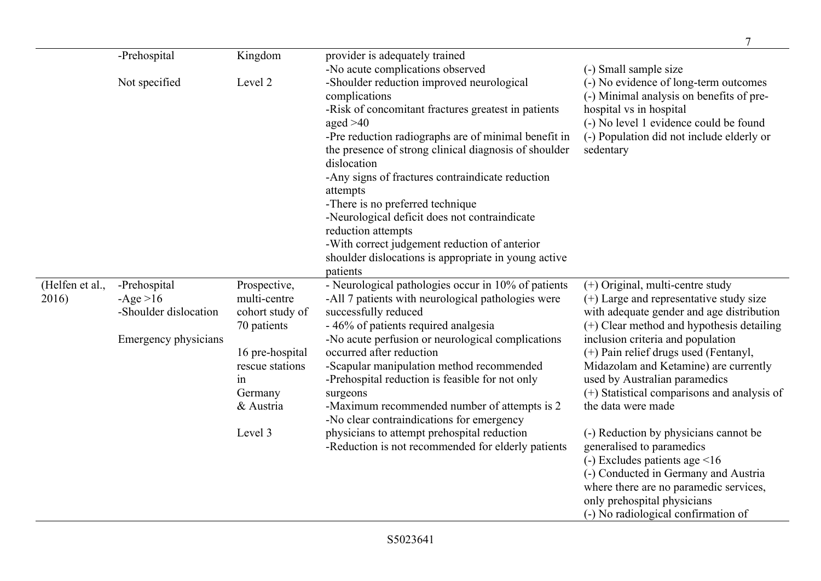|                          |                                                                              |                                                                                                                                               |                                                                                                                                                                                                                                                                                                                                                                                                                                                                                                                                                                          | 7                                                                                                                                                                                                                                                                                                                                                                                                                                                                                                                                                                                                                                                                   |
|--------------------------|------------------------------------------------------------------------------|-----------------------------------------------------------------------------------------------------------------------------------------------|--------------------------------------------------------------------------------------------------------------------------------------------------------------------------------------------------------------------------------------------------------------------------------------------------------------------------------------------------------------------------------------------------------------------------------------------------------------------------------------------------------------------------------------------------------------------------|---------------------------------------------------------------------------------------------------------------------------------------------------------------------------------------------------------------------------------------------------------------------------------------------------------------------------------------------------------------------------------------------------------------------------------------------------------------------------------------------------------------------------------------------------------------------------------------------------------------------------------------------------------------------|
|                          | -Prehospital                                                                 | Kingdom                                                                                                                                       | provider is adequately trained<br>-No acute complications observed                                                                                                                                                                                                                                                                                                                                                                                                                                                                                                       | (-) Small sample size                                                                                                                                                                                                                                                                                                                                                                                                                                                                                                                                                                                                                                               |
|                          | Not specified                                                                | Level 2                                                                                                                                       | -Shoulder reduction improved neurological<br>complications<br>-Risk of concomitant fractures greatest in patients<br>aged $>40$<br>-Pre reduction radiographs are of minimal benefit in<br>the presence of strong clinical diagnosis of shoulder<br>dislocation<br>-Any signs of fractures contraindicate reduction<br>attempts<br>-There is no preferred technique<br>-Neurological deficit does not contraindicate<br>reduction attempts<br>-With correct judgement reduction of anterior<br>shoulder dislocations is appropriate in young active<br>patients          | (-) No evidence of long-term outcomes<br>(-) Minimal analysis on benefits of pre-<br>hospital vs in hospital<br>(-) No level 1 evidence could be found<br>(-) Population did not include elderly or<br>sedentary                                                                                                                                                                                                                                                                                                                                                                                                                                                    |
| (Helfen et al.,<br>2016) | -Prehospital<br>$-Age > 16$<br>-Shoulder dislocation<br>Emergency physicians | Prospective,<br>multi-centre<br>cohort study of<br>70 patients<br>16 pre-hospital<br>rescue stations<br>1n<br>Germany<br>& Austria<br>Level 3 | - Neurological pathologies occur in 10% of patients<br>-All 7 patients with neurological pathologies were<br>successfully reduced<br>- 46% of patients required analgesia<br>-No acute perfusion or neurological complications<br>occurred after reduction<br>-Scapular manipulation method recommended<br>-Prehospital reduction is feasible for not only<br>surgeons<br>-Maximum recommended number of attempts is 2<br>-No clear contraindications for emergency<br>physicians to attempt prehospital reduction<br>-Reduction is not recommended for elderly patients | (+) Original, multi-centre study<br>(+) Large and representative study size<br>with adequate gender and age distribution<br>(+) Clear method and hypothesis detailing<br>inclusion criteria and population<br>(+) Pain relief drugs used (Fentanyl,<br>Midazolam and Ketamine) are currently<br>used by Australian paramedics<br>(+) Statistical comparisons and analysis of<br>the data were made<br>(-) Reduction by physicians cannot be<br>generalised to paramedics<br>$(-)$ Excludes patients age <16<br>(-) Conducted in Germany and Austria<br>where there are no paramedic services,<br>only prehospital physicians<br>(-) No radiological confirmation of |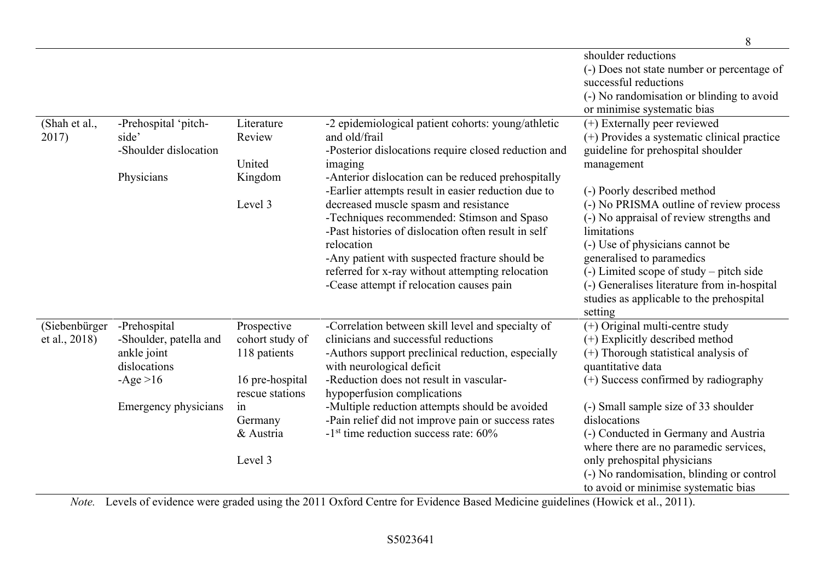|                        |                               |                                    |                                                                      | shoulder reductions<br>(-) Does not state number or percentage of           |
|------------------------|-------------------------------|------------------------------------|----------------------------------------------------------------------|-----------------------------------------------------------------------------|
|                        |                               |                                    |                                                                      | successful reductions                                                       |
|                        |                               |                                    |                                                                      | (-) No randomisation or blinding to avoid                                   |
|                        |                               |                                    |                                                                      | or minimise systematic bias                                                 |
| (Shah et al.,<br>2017) | -Prehospital 'pitch-<br>side' | Literature<br>Review               | -2 epidemiological patient cohorts: young/athletic<br>and old/frail  | (+) Externally peer reviewed<br>(+) Provides a systematic clinical practice |
|                        | -Shoulder dislocation         |                                    | -Posterior dislocations require closed reduction and                 | guideline for prehospital shoulder                                          |
|                        |                               | United                             | imaging                                                              | management                                                                  |
|                        | Physicians                    | Kingdom                            | -Anterior dislocation can be reduced prehospitally                   |                                                                             |
|                        |                               |                                    | -Earlier attempts result in easier reduction due to                  | (-) Poorly described method                                                 |
|                        |                               | Level 3                            | decreased muscle spasm and resistance                                | (-) No PRISMA outline of review process                                     |
|                        |                               |                                    | -Techniques recommended: Stimson and Spaso                           | (-) No appraisal of review strengths and                                    |
|                        |                               |                                    | -Past histories of dislocation often result in self                  | limitations                                                                 |
|                        |                               |                                    | relocation                                                           | (-) Use of physicians cannot be                                             |
|                        |                               |                                    | -Any patient with suspected fracture should be                       | generalised to paramedics                                                   |
|                        |                               |                                    | referred for x-ray without attempting relocation                     | $(-)$ Limited scope of study – pitch side                                   |
|                        |                               |                                    | -Cease attempt if relocation causes pain                             | (-) Generalises literature from in-hospital                                 |
|                        |                               |                                    |                                                                      | studies as applicable to the prehospital                                    |
|                        |                               |                                    |                                                                      | setting                                                                     |
| (Siebenbürger          | -Prehospital                  | Prospective                        | -Correlation between skill level and specialty of                    | $(+)$ Original multi-centre study                                           |
| et al., 2018)          | -Shoulder, patella and        | cohort study of                    | clinicians and successful reductions                                 | (+) Explicitly described method                                             |
|                        | ankle joint                   | 118 patients                       | -Authors support preclinical reduction, especially                   | $(+)$ Thorough statistical analysis of                                      |
|                        | dislocations                  |                                    | with neurological deficit<br>-Reduction does not result in vascular- | quantitative data<br>(+) Success confirmed by radiography                   |
|                        | $-Age > 16$                   | 16 pre-hospital<br>rescue stations | hypoperfusion complications                                          |                                                                             |
|                        | Emergency physicians          | in                                 | -Multiple reduction attempts should be avoided                       | (-) Small sample size of 33 shoulder                                        |
|                        |                               | Germany                            | -Pain relief did not improve pain or success rates                   | dislocations                                                                |
|                        |                               | & Austria                          | $-1$ <sup>st</sup> time reduction success rate: $60\%$               | (-) Conducted in Germany and Austria                                        |
|                        |                               |                                    |                                                                      | where there are no paramedic services,                                      |
|                        |                               | Level 3                            |                                                                      | only prehospital physicians                                                 |
|                        |                               |                                    |                                                                      | (-) No randomisation, blinding or control                                   |
|                        |                               |                                    |                                                                      | to avoid or minimise systematic bias                                        |

*Note.* Levels of evidence were graded using the 2011 Oxford Centre for Evidence Based Medicine guidelines (Howick et al., 2011).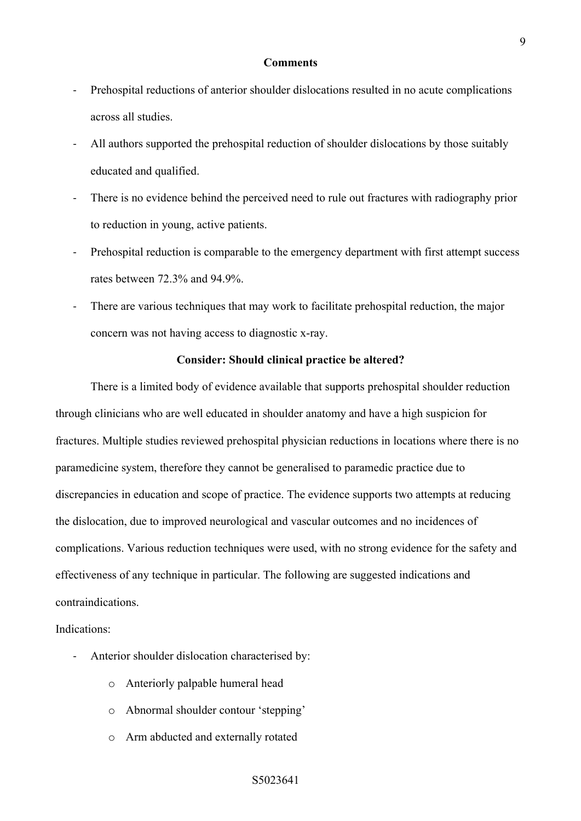### **Comments**

- Prehospital reductions of anterior shoulder dislocations resulted in no acute complications across all studies.
- All authors supported the prehospital reduction of shoulder dislocations by those suitably educated and qualified.
- There is no evidence behind the perceived need to rule out fractures with radiography prior to reduction in young, active patients.
- Prehospital reduction is comparable to the emergency department with first attempt success rates between 72.3% and 94.9%.
- There are various techniques that may work to facilitate prehospital reduction, the major concern was not having access to diagnostic x-ray.

## **Consider: Should clinical practice be altered?**

There is a limited body of evidence available that supports prehospital shoulder reduction through clinicians who are well educated in shoulder anatomy and have a high suspicion for fractures. Multiple studies reviewed prehospital physician reductions in locations where there is no paramedicine system, therefore they cannot be generalised to paramedic practice due to discrepancies in education and scope of practice. The evidence supports two attempts at reducing the dislocation, due to improved neurological and vascular outcomes and no incidences of complications. Various reduction techniques were used, with no strong evidence for the safety and effectiveness of any technique in particular. The following are suggested indications and contraindications.

Indications:

- Anterior shoulder dislocation characterised by:
	- o Anteriorly palpable humeral head
	- o Abnormal shoulder contour 'stepping'
	- o Arm abducted and externally rotated

## S5023641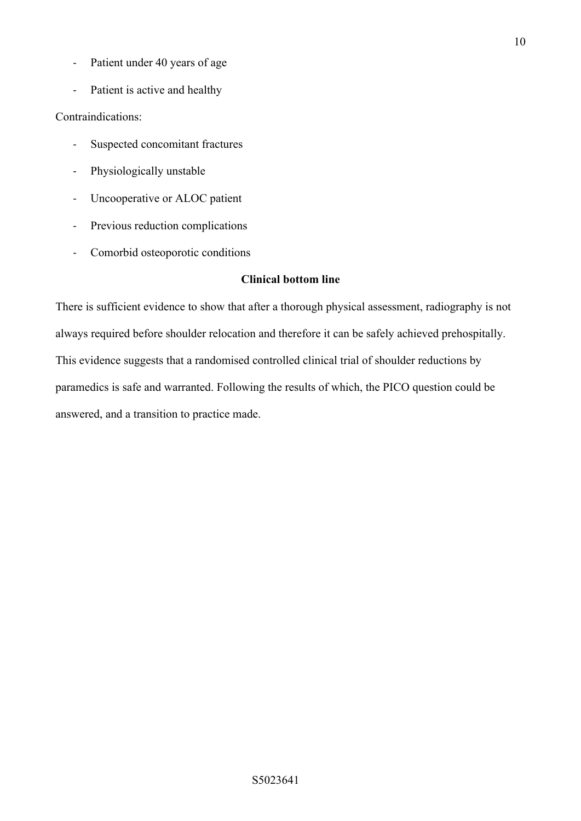- Patient under 40 years of age
- Patient is active and healthy

# Contraindications:

- Suspected concomitant fractures
- Physiologically unstable
- Uncooperative or ALOC patient
- Previous reduction complications
- Comorbid osteoporotic conditions

## **Clinical bottom line**

There is sufficient evidence to show that after a thorough physical assessment, radiography is not always required before shoulder relocation and therefore it can be safely achieved prehospitally. This evidence suggests that a randomised controlled clinical trial of shoulder reductions by paramedics is safe and warranted. Following the results of which, the PICO question could be answered, and a transition to practice made.